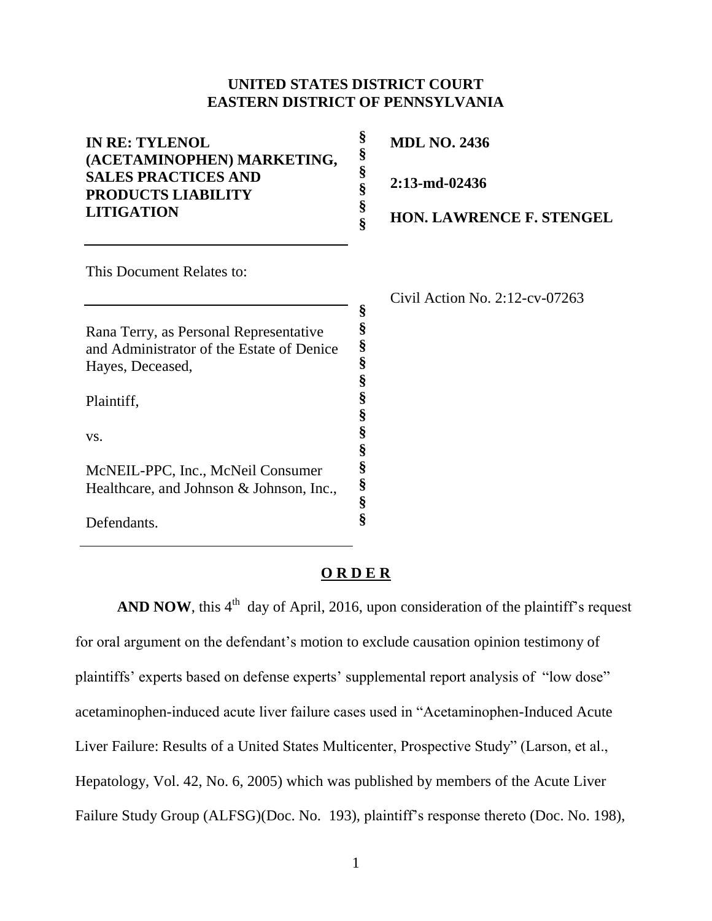## **UNITED STATES DISTRICT COURT EASTERN DISTRICT OF PENNSYLVANIA**

| <b>IN RE: TYLENOL</b><br>(ACETAMINOPHEN) MARKETING,     | §<br>§      | <b>MDL NO. 2436</b>               |
|---------------------------------------------------------|-------------|-----------------------------------|
| <b>SALES PRACTICES AND</b><br><b>PRODUCTS LIABILITY</b> | §<br>§      | 2:13-md-02436                     |
| <b>LITIGATION</b>                                       | §<br>Ş      | <b>HON. LAWRENCE F. STENGEL</b>   |
| This Document Relates to:                               |             |                                   |
|                                                         |             | Civil Action No. $2:12$ -cv-07263 |
|                                                         | §           |                                   |
| Rana Terry, as Personal Representative                  | §           |                                   |
| and Administrator of the Estate of Denice               | §<br>§      |                                   |
| Hayes, Deceased,                                        |             |                                   |
| Plaintiff,                                              | §<br>§<br>§ |                                   |
| VS.                                                     | §<br>§      |                                   |
| McNEIL-PPC, Inc., McNeil Consumer                       | §           |                                   |
| Healthcare, and Johnson & Johnson, Inc.,                | §           |                                   |
|                                                         | §           |                                   |
| Defendants.                                             | §           |                                   |

## **O R D E R**

**AND NOW**, this  $4<sup>th</sup>$  day of April, 2016, upon consideration of the plaintiff's request for oral argument on the defendant's motion to exclude causation opinion testimony of plaintiffs' experts based on defense experts' supplemental report analysis of "low dose" acetaminophen-induced acute liver failure cases used in "Acetaminophen-Induced Acute Liver Failure: Results of a United States Multicenter, Prospective Study" (Larson, et al., Hepatology, Vol. 42, No. 6, 2005) which was published by members of the Acute Liver Failure Study Group (ALFSG)(Doc. No. 193), plaintiff's response thereto (Doc. No. 198),